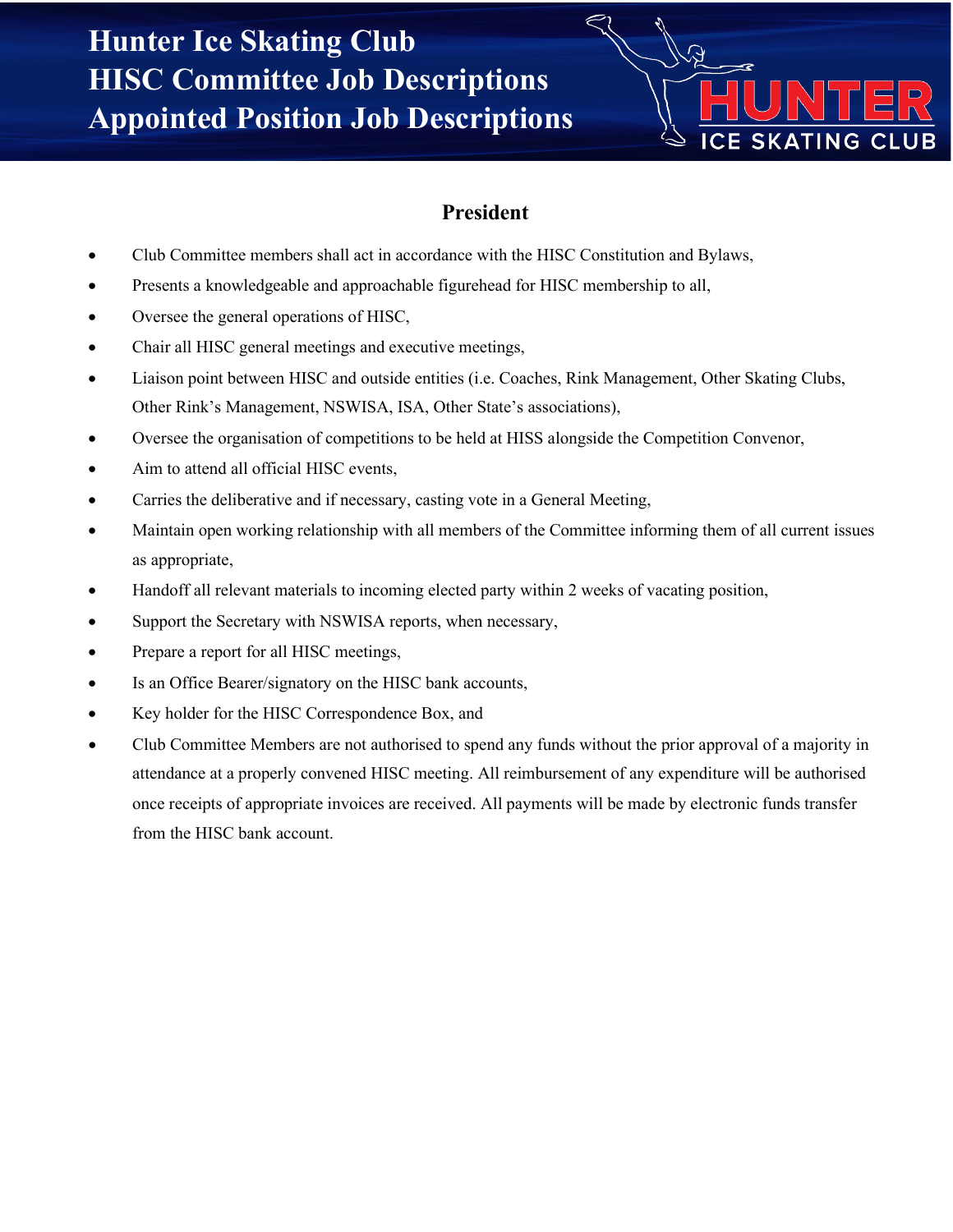

#### **President**

- Club Committee members shall act in accordance with the HISC Constitution and Bylaws,
- Presents a knowledgeable and approachable figurehead for HISC membership to all,
- Oversee the general operations of HISC,
- Chair all HISC general meetings and executive meetings,
- Liaison point between HISC and outside entities (i.e. Coaches, Rink Management, Other Skating Clubs, Other Rink's Management, NSWISA, ISA, Other State's associations),
- Oversee the organisation of competitions to be held at HISS alongside the Competition Convenor,
- Aim to attend all official HISC events,
- Carries the deliberative and if necessary, casting vote in a General Meeting,
- Maintain open working relationship with all members of the Committee informing them of all current issues as appropriate,
- Handoff all relevant materials to incoming elected party within 2 weeks of vacating position,
- Support the Secretary with NSWISA reports, when necessary,
- Prepare a report for all HISC meetings,
- Is an Office Bearer/signatory on the HISC bank accounts,
- Key holder for the HISC Correspondence Box, and
- Club Committee Members are not authorised to spend any funds without the prior approval of a majority in attendance at a properly convened HISC meeting. All reimbursement of any expenditure will be authorised once receipts of appropriate invoices are received. All payments will be made by electronic funds transfer from the HISC bank account.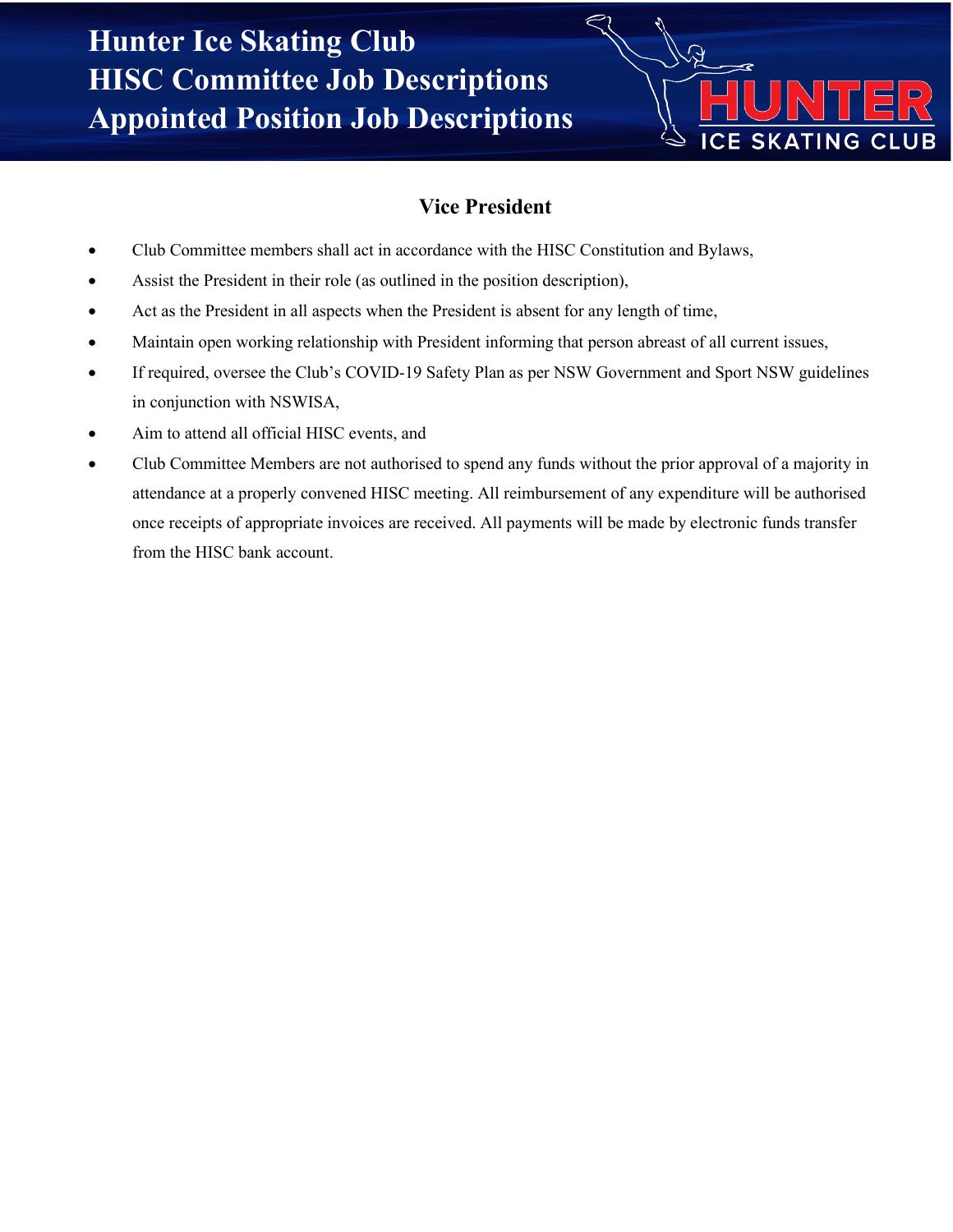

## **Vice President**

- Club Committee members shall act in accordance with the HISC Constitution and Bylaws,
- Assist the President in their role (as outlined in the position description),
- Act as the President in all aspects when the President is absent for any length of time,
- Maintain open working relationship with President informing that person abreast of all current issues,
- If required, oversee the Club's COVID-19 Safety Plan as per NSW Government and Sport NSW guidelines in conjunction with NSWISA,
- Aim to attend all official HISC events, and
- Club Committee Members are not authorised to spend any funds without the prior approval of a majority in attendance at a properly convened HISC meeting. All reimbursement of any expenditure will be authorised once receipts of appropriate invoices are received. All payments will be made by electronic funds transfer from the HISC bank account.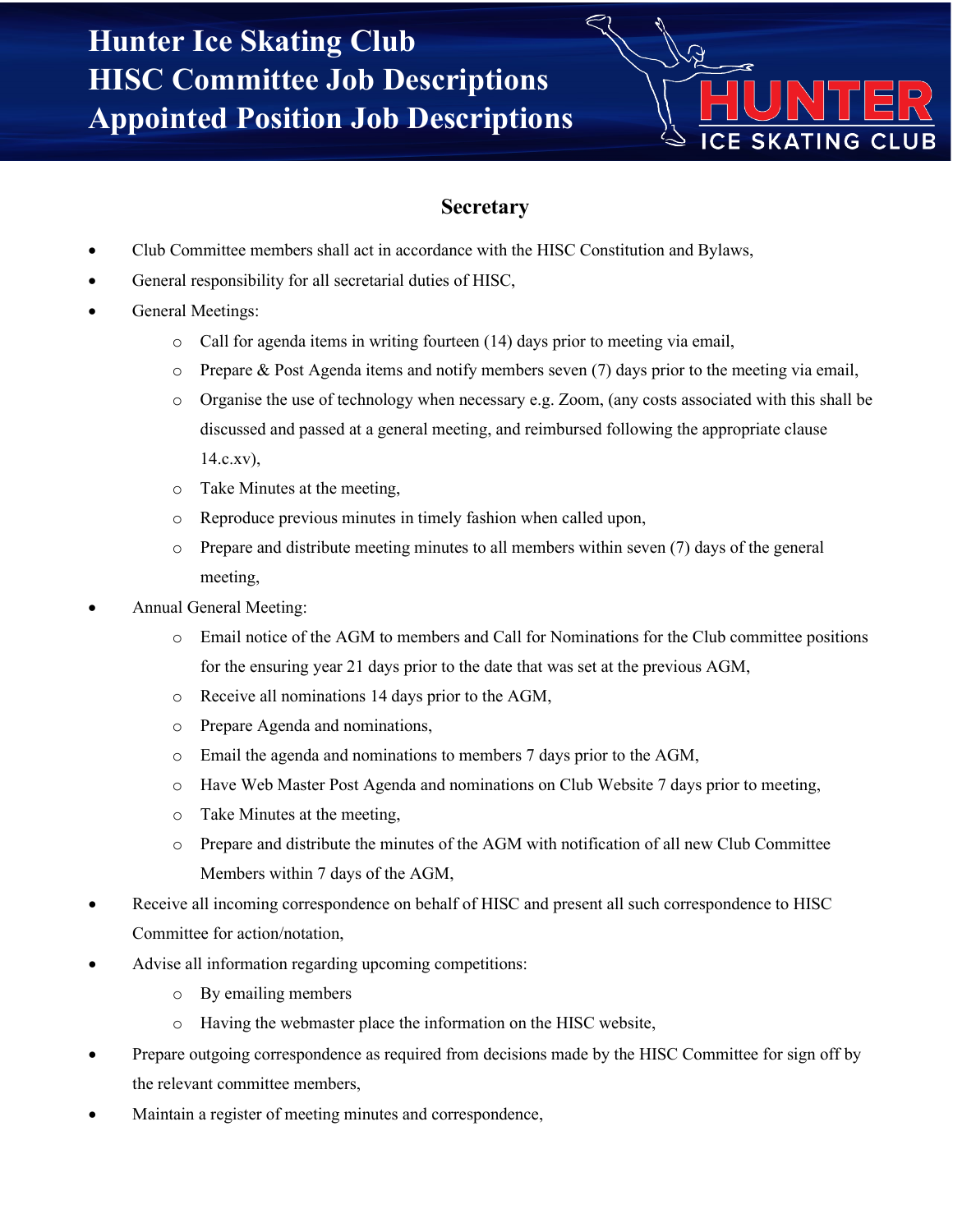

#### **Secretary**

- Club Committee members shall act in accordance with the HISC Constitution and Bylaws,
- General responsibility for all secretarial duties of HISC,
- General Meetings:
	- $\circ$  Call for agenda items in writing fourteen (14) days prior to meeting via email,
	- $\circ$  Prepare & Post Agenda items and notify members seven (7) days prior to the meeting via email,
	- o Organise the use of technology when necessary e.g. Zoom, (any costs associated with this shall be discussed and passed at a general meeting, and reimbursed following the appropriate clause  $14.c.xv$ ),
	- o Take Minutes at the meeting,
	- o Reproduce previous minutes in timely fashion when called upon,
	- o Prepare and distribute meeting minutes to all members within seven (7) days of the general meeting,
- Annual General Meeting:
	- o Email notice of the AGM to members and Call for Nominations for the Club committee positions for the ensuring year 21 days prior to the date that was set at the previous AGM,
	- o Receive all nominations 14 days prior to the AGM,
	- o Prepare Agenda and nominations,
	- o Email the agenda and nominations to members 7 days prior to the AGM,
	- o Have Web Master Post Agenda and nominations on Club Website 7 days prior to meeting,
	- o Take Minutes at the meeting,
	- o Prepare and distribute the minutes of the AGM with notification of all new Club Committee Members within 7 days of the AGM,
- Receive all incoming correspondence on behalf of HISC and present all such correspondence to HISC Committee for action/notation,
- Advise all information regarding upcoming competitions:
	- o By emailing members
	- o Having the webmaster place the information on the HISC website,
- Prepare outgoing correspondence as required from decisions made by the HISC Committee for sign off by the relevant committee members,
- Maintain a register of meeting minutes and correspondence,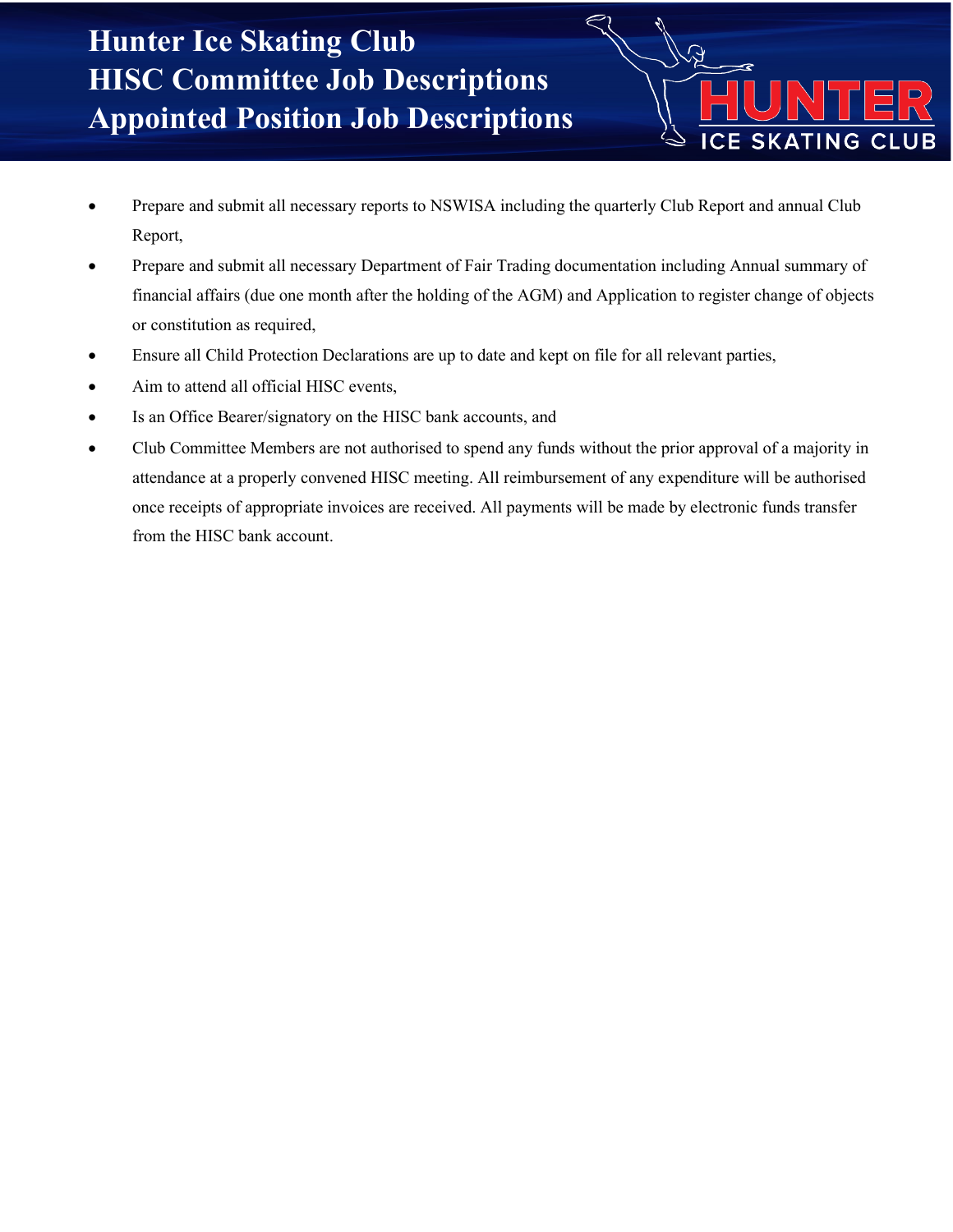• Prepare and submit all necessary reports to NSWISA including the quarterly Club Report and annual Club Report,

 $\overline{\Omega}$ 

**ICE SKATING CLUB** 

- Prepare and submit all necessary Department of Fair Trading documentation including Annual summary of financial affairs (due one month after the holding of the AGM) and Application to register change of objects or constitution as required,
- Ensure all Child Protection Declarations are up to date and kept on file for all relevant parties,
- Aim to attend all official HISC events,
- Is an Office Bearer/signatory on the HISC bank accounts, and
- Club Committee Members are not authorised to spend any funds without the prior approval of a majority in attendance at a properly convened HISC meeting. All reimbursement of any expenditure will be authorised once receipts of appropriate invoices are received. All payments will be made by electronic funds transfer from the HISC bank account.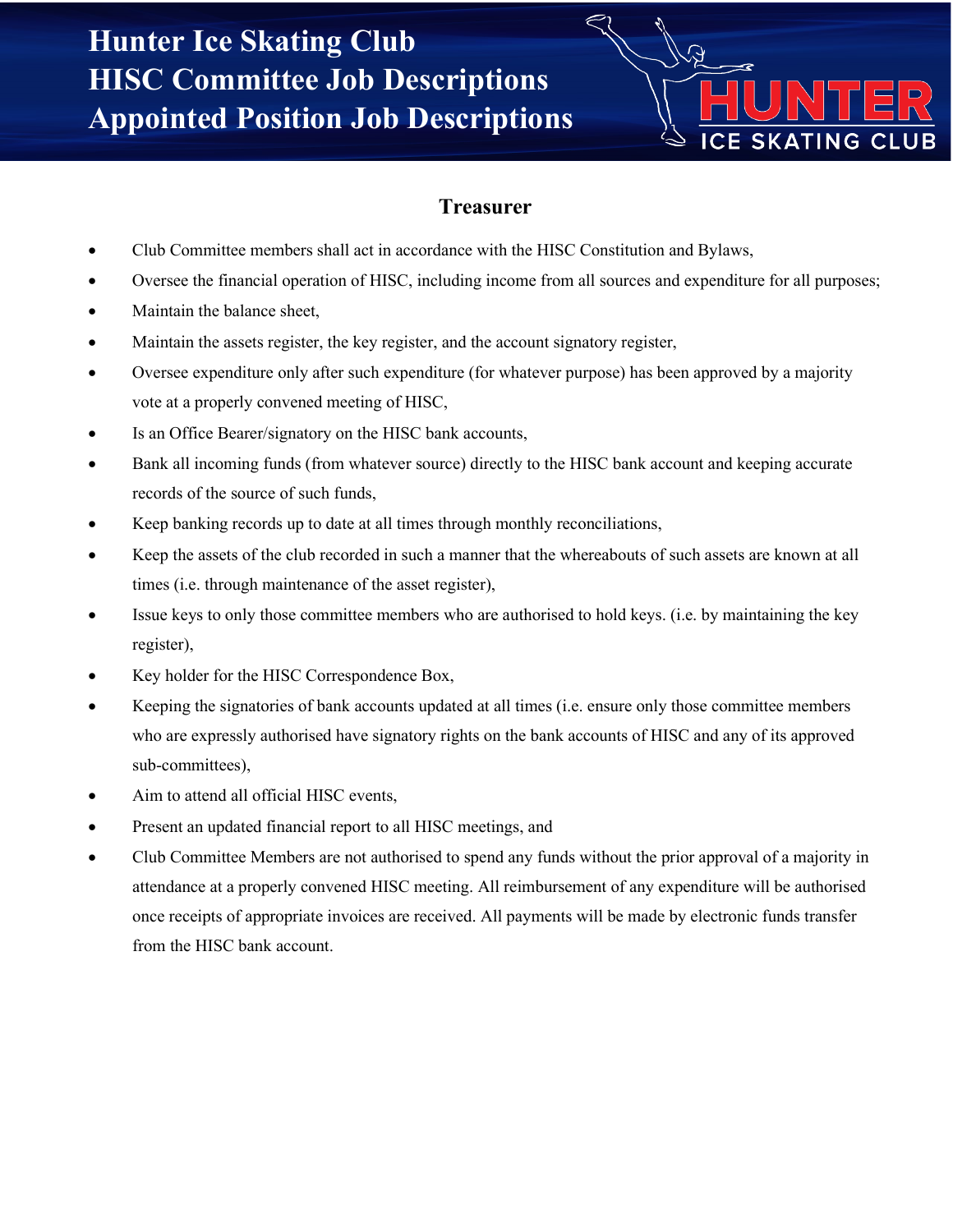

#### **Treasurer**

- Club Committee members shall act in accordance with the HISC Constitution and Bylaws,
- Oversee the financial operation of HISC, including income from all sources and expenditure for all purposes;
- Maintain the balance sheet,
- Maintain the assets register, the key register, and the account signatory register,
- Oversee expenditure only after such expenditure (for whatever purpose) has been approved by a majority vote at a properly convened meeting of HISC,
- Is an Office Bearer/signatory on the HISC bank accounts,
- Bank all incoming funds (from whatever source) directly to the HISC bank account and keeping accurate records of the source of such funds,
- Keep banking records up to date at all times through monthly reconciliations,
- Keep the assets of the club recorded in such a manner that the whereabouts of such assets are known at all times (i.e. through maintenance of the asset register),
- Issue keys to only those committee members who are authorised to hold keys. (i.e. by maintaining the key register),
- Key holder for the HISC Correspondence Box,
- Keeping the signatories of bank accounts updated at all times (i.e. ensure only those committee members who are expressly authorised have signatory rights on the bank accounts of HISC and any of its approved sub-committees),
- Aim to attend all official HISC events,
- Present an updated financial report to all HISC meetings, and
- Club Committee Members are not authorised to spend any funds without the prior approval of a majority in attendance at a properly convened HISC meeting. All reimbursement of any expenditure will be authorised once receipts of appropriate invoices are received. All payments will be made by electronic funds transfer from the HISC bank account.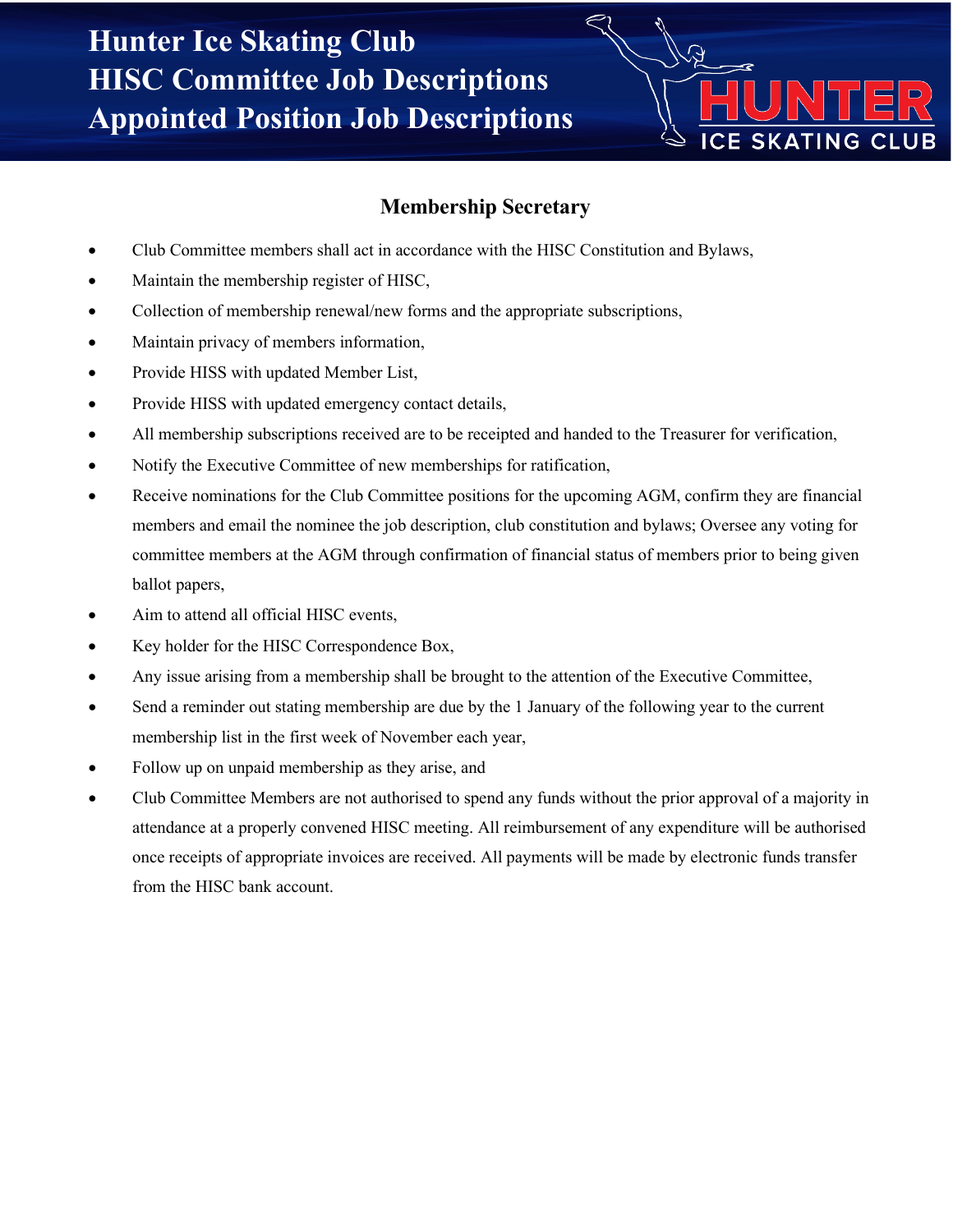

#### **Membership Secretary**

- Club Committee members shall act in accordance with the HISC Constitution and Bylaws,
- Maintain the membership register of HISC,
- Collection of membership renewal/new forms and the appropriate subscriptions,
- Maintain privacy of members information,
- Provide HISS with updated Member List,
- Provide HISS with updated emergency contact details,
- All membership subscriptions received are to be receipted and handed to the Treasurer for verification,
- Notify the Executive Committee of new memberships for ratification,
- Receive nominations for the Club Committee positions for the upcoming AGM, confirm they are financial members and email the nominee the job description, club constitution and bylaws; Oversee any voting for committee members at the AGM through confirmation of financial status of members prior to being given ballot papers,
- Aim to attend all official HISC events,
- Key holder for the HISC Correspondence Box,
- Any issue arising from a membership shall be brought to the attention of the Executive Committee,
- Send a reminder out stating membership are due by the 1 January of the following year to the current membership list in the first week of November each year,
- Follow up on unpaid membership as they arise, and
- Club Committee Members are not authorised to spend any funds without the prior approval of a majority in attendance at a properly convened HISC meeting. All reimbursement of any expenditure will be authorised once receipts of appropriate invoices are received. All payments will be made by electronic funds transfer from the HISC bank account.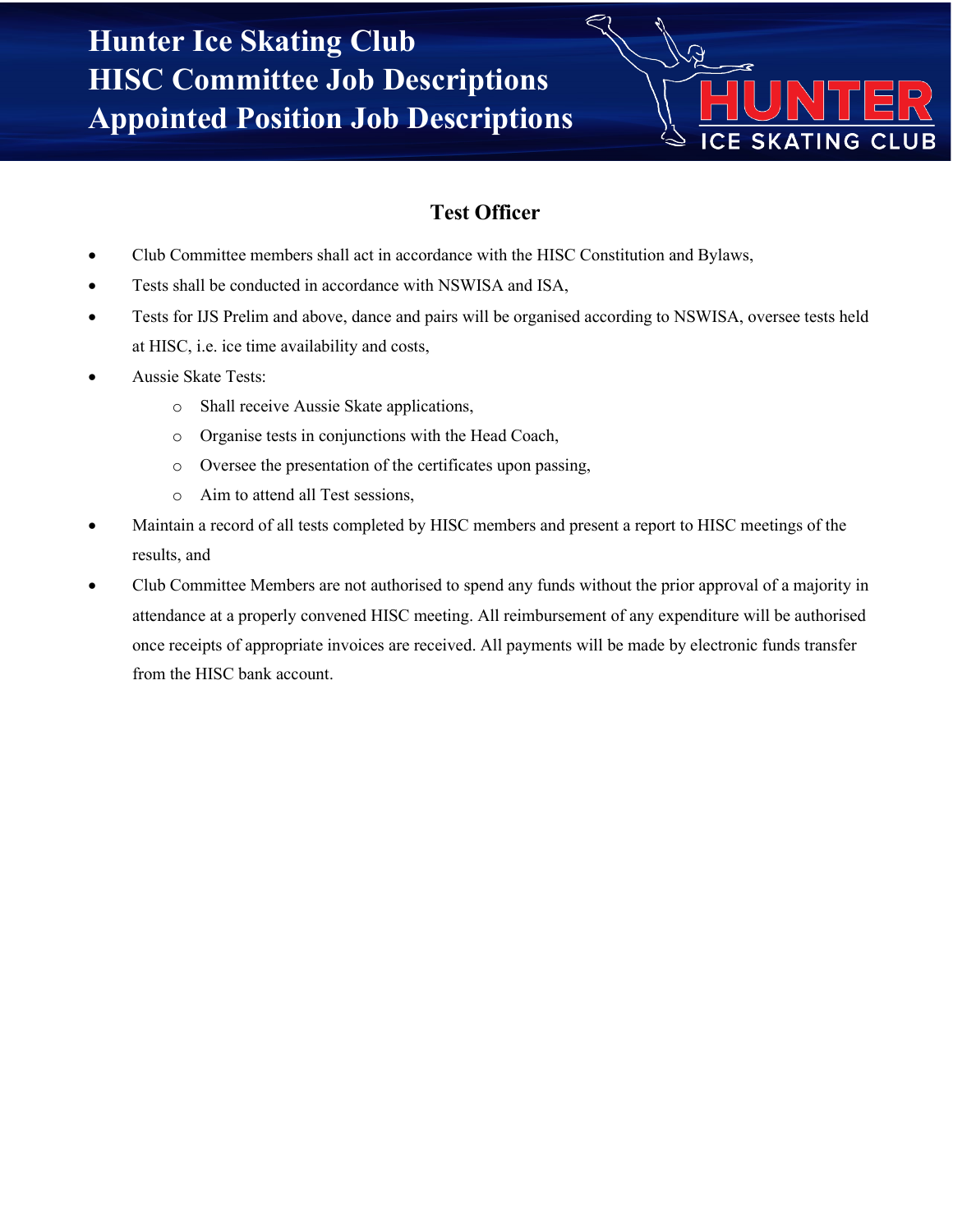

## **Test Officer**

- Club Committee members shall act in accordance with the HISC Constitution and Bylaws,
- Tests shall be conducted in accordance with NSWISA and ISA,
- Tests for IJS Prelim and above, dance and pairs will be organised according to NSWISA, oversee tests held at HISC, i.e. ice time availability and costs,
- Aussie Skate Tests:
	- o Shall receive Aussie Skate applications,
	- o Organise tests in conjunctions with the Head Coach,
	- o Oversee the presentation of the certificates upon passing,
	- o Aim to attend all Test sessions,
- Maintain a record of all tests completed by HISC members and present a report to HISC meetings of the results, and
- Club Committee Members are not authorised to spend any funds without the prior approval of a majority in attendance at a properly convened HISC meeting. All reimbursement of any expenditure will be authorised once receipts of appropriate invoices are received. All payments will be made by electronic funds transfer from the HISC bank account.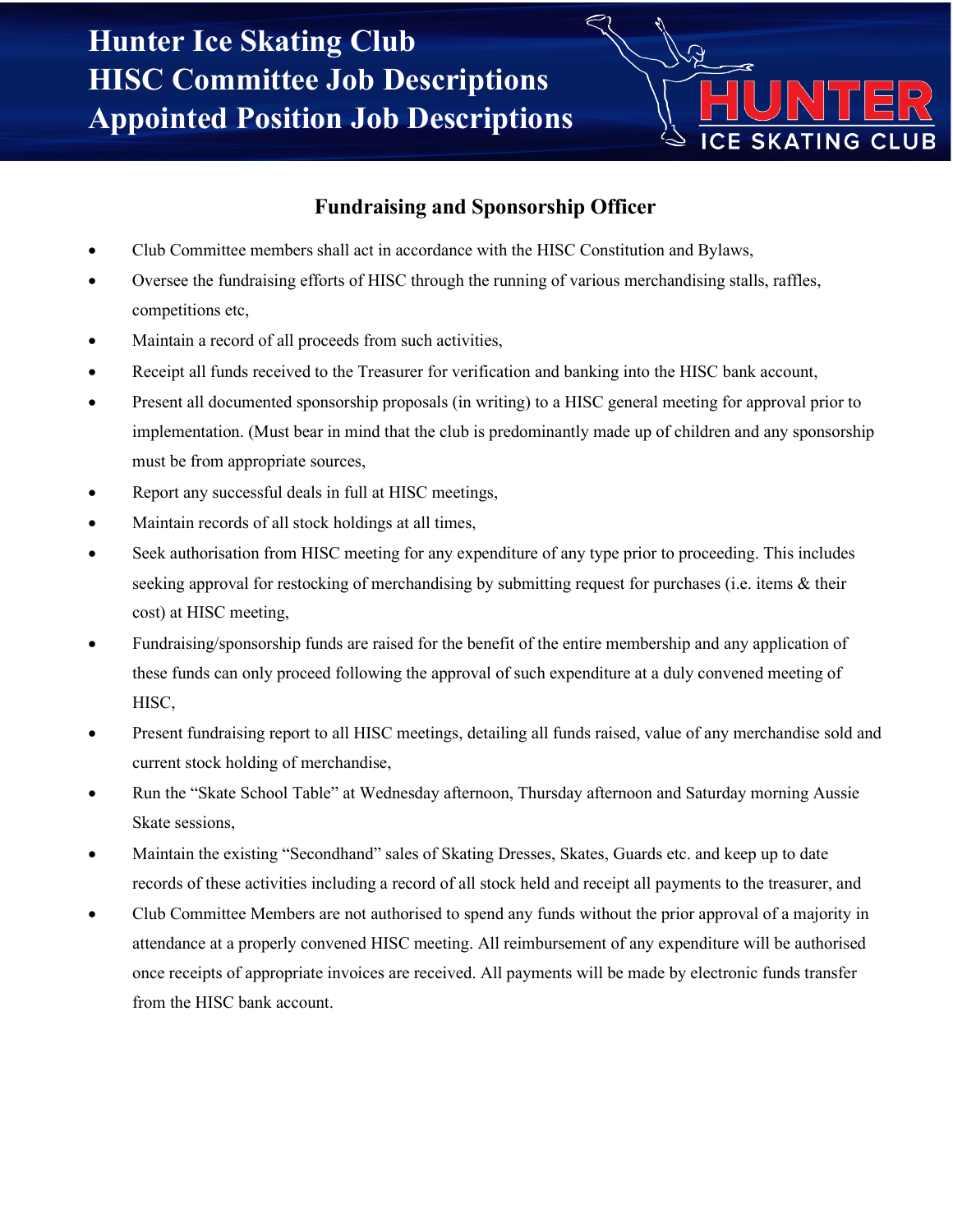

#### **Fundraising and Sponsorship Officer**

- Club Committee members shall act in accordance with the HISC Constitution and Bylaws,
- Oversee the fundraising efforts of HISC through the running of various merchandising stalls, raffles, competitions etc,
- Maintain a record of all proceeds from such activities,
- Receipt all funds received to the Treasurer for verification and banking into the HISC bank account,
- Present all documented sponsorship proposals (in writing) to a HISC general meeting for approval prior to implementation. (Must bear in mind that the club is predominantly made up of children and any sponsorship must be from appropriate sources,
- Report any successful deals in full at HISC meetings,
- Maintain records of all stock holdings at all times,
- Seek authorisation from HISC meeting for any expenditure of any type prior to proceeding. This includes seeking approval for restocking of merchandising by submitting request for purchases (i.e. items & their cost) at HISC meeting,
- Fundraising/sponsorship funds are raised for the benefit of the entire membership and any application of these funds can only proceed following the approval of such expenditure at a duly convened meeting of HISC,
- Present fundraising report to all HISC meetings, detailing all funds raised, value of any merchandise sold and current stock holding of merchandise,
- Run the "Skate School Table" at Wednesday afternoon, Thursday afternoon and Saturday morning Aussie Skate sessions,
- Maintain the existing "Secondhand" sales of Skating Dresses, Skates, Guards etc. and keep up to date records of these activities including a record of all stock held and receipt all payments to the treasurer, and
- Club Committee Members are not authorised to spend any funds without the prior approval of a majority in attendance at a properly convened HISC meeting. All reimbursement of any expenditure will be authorised once receipts of appropriate invoices are received. All payments will be made by electronic funds transfer from the HISC bank account.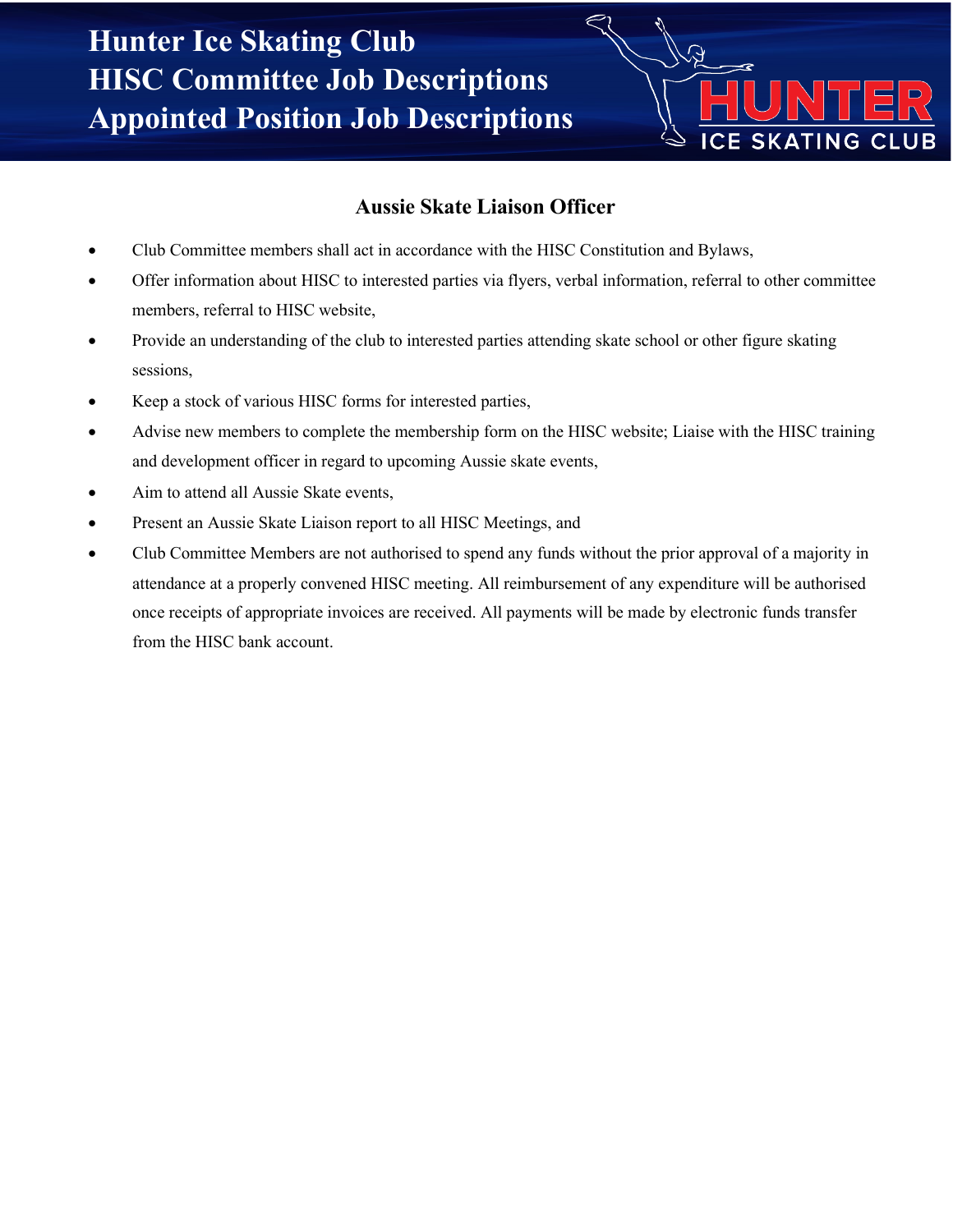

#### **Aussie Skate Liaison Officer**

- Club Committee members shall act in accordance with the HISC Constitution and Bylaws,
- Offer information about HISC to interested parties via flyers, verbal information, referral to other committee members, referral to HISC website,
- Provide an understanding of the club to interested parties attending skate school or other figure skating sessions,
- Keep a stock of various HISC forms for interested parties,
- Advise new members to complete the membership form on the HISC website; Liaise with the HISC training and development officer in regard to upcoming Aussie skate events,
- Aim to attend all Aussie Skate events,
- Present an Aussie Skate Liaison report to all HISC Meetings, and
- Club Committee Members are not authorised to spend any funds without the prior approval of a majority in attendance at a properly convened HISC meeting. All reimbursement of any expenditure will be authorised once receipts of appropriate invoices are received. All payments will be made by electronic funds transfer from the HISC bank account.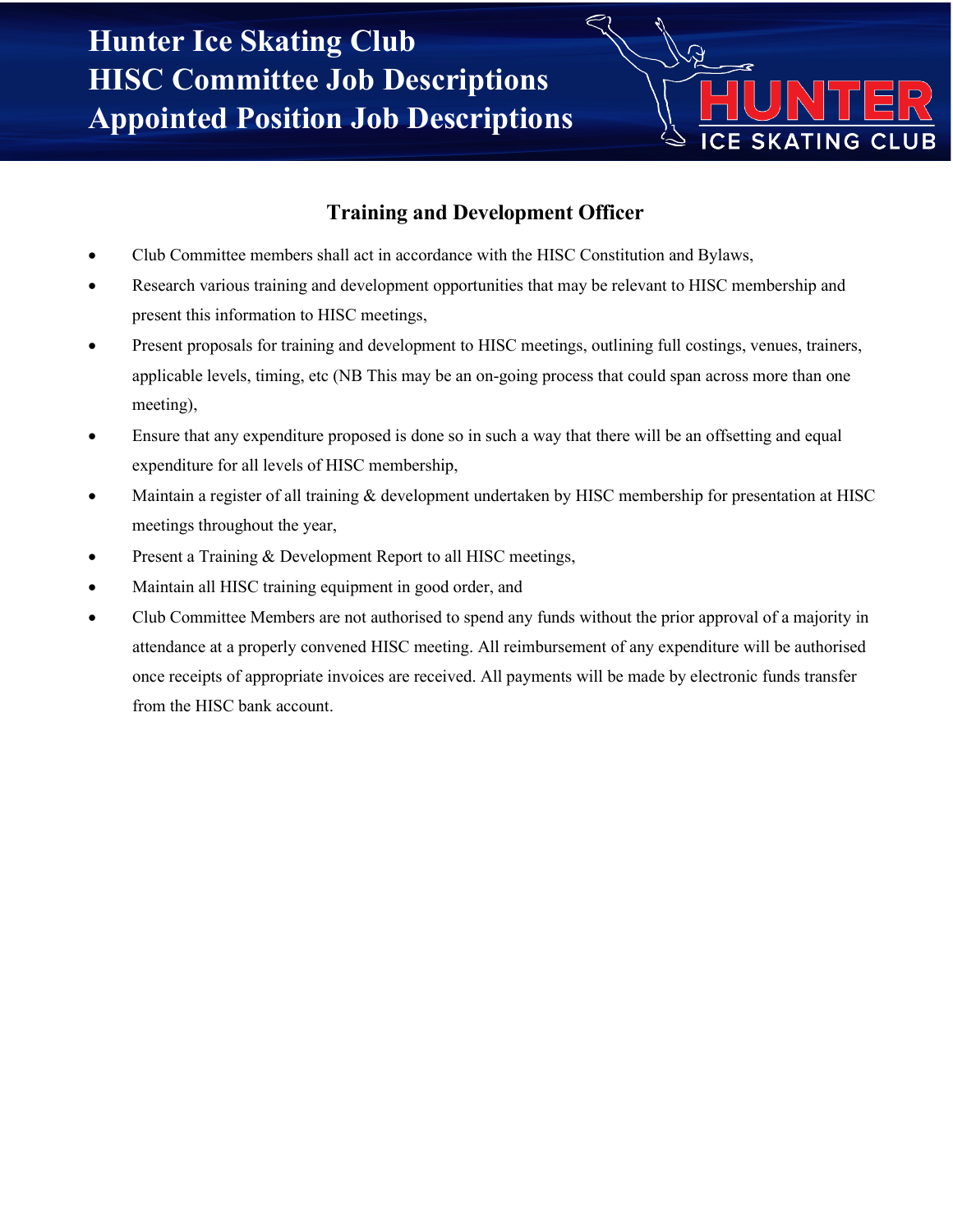

#### **Training and Development Officer**

- Club Committee members shall act in accordance with the HISC Constitution and Bylaws,
- Research various training and development opportunities that may be relevant to HISC membership and present this information to HISC meetings,
- Present proposals for training and development to HISC meetings, outlining full costings, venues, trainers, applicable levels, timing, etc (NB This may be an on-going process that could span across more than one meeting),
- Ensure that any expenditure proposed is done so in such a way that there will be an offsetting and equal expenditure for all levels of HISC membership,
- Maintain a register of all training & development undertaken by HISC membership for presentation at HISC meetings throughout the year,
- Present a Training & Development Report to all HISC meetings,
- Maintain all HISC training equipment in good order, and
- Club Committee Members are not authorised to spend any funds without the prior approval of a majority in attendance at a properly convened HISC meeting. All reimbursement of any expenditure will be authorised once receipts of appropriate invoices are received. All payments will be made by electronic funds transfer from the HISC bank account.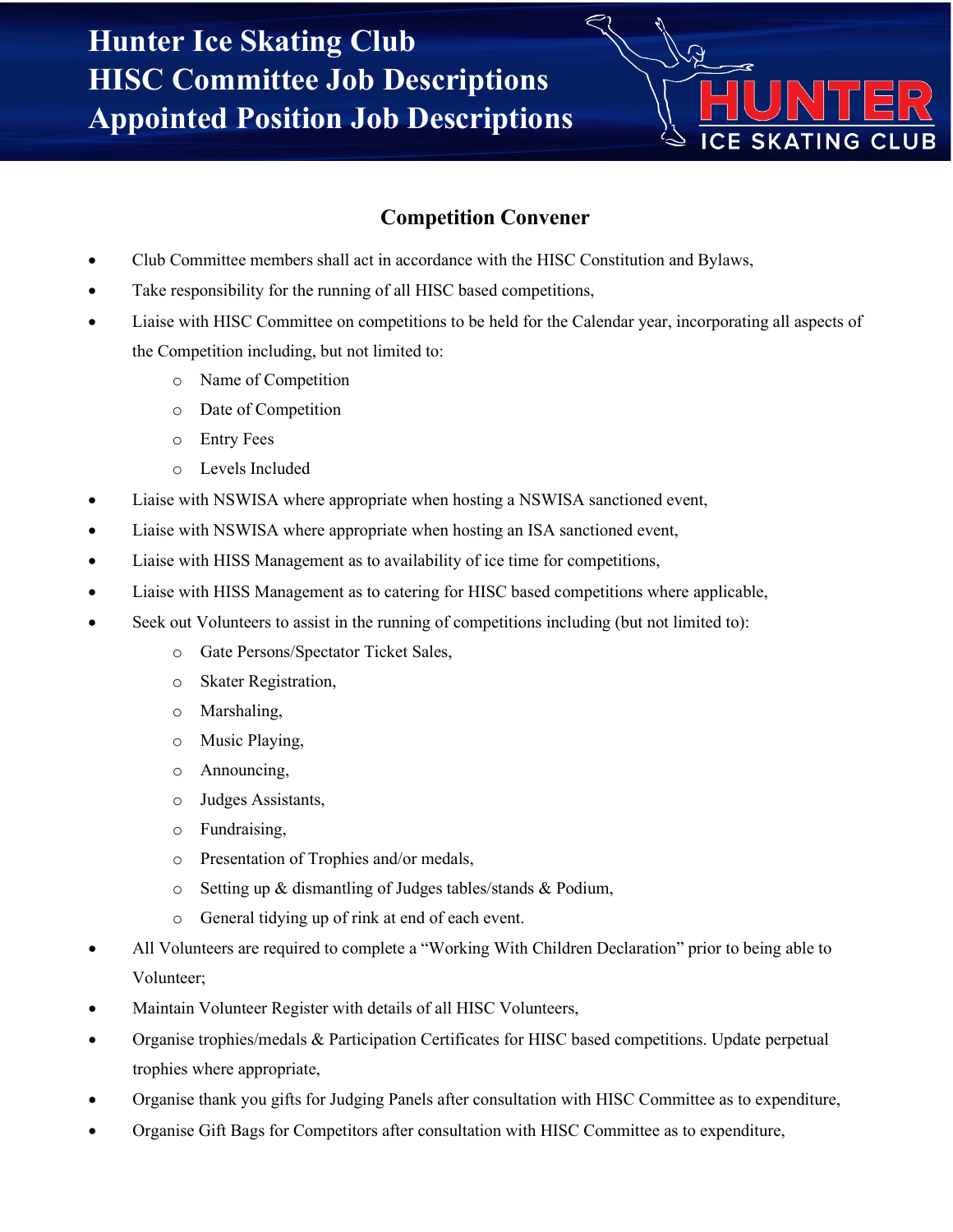

#### **Competition Convener**

- Club Committee members shall act in accordance with the HISC Constitution and Bylaws,
- Take responsibility for the running of all HISC based competitions,
- Liaise with HISC Committee on competitions to be held for the Calendar year, incorporating all aspects of the Competition including, but not limited to:
	- o Name of Competition
	- o Date of Competition
	- o Entry Fees
	- o Levels Included
- Liaise with NSWISA where appropriate when hosting a NSWISA sanctioned event,
- Liaise with NSWISA where appropriate when hosting an ISA sanctioned event,
- Liaise with HISS Management as to availability of ice time for competitions,
- Liaise with HISS Management as to catering for HISC based competitions where applicable,
- Seek out Volunteers to assist in the running of competitions including (but not limited to):
	- o Gate Persons/Spectator Ticket Sales,
	- o Skater Registration,
	- o Marshaling,
	- o Music Playing,
	- o Announcing,
	- o Judges Assistants,
	- o Fundraising,
	- o Presentation of Trophies and/or medals,
	- o Setting up & dismantling of Judges tables/stands & Podium,
	- o General tidying up of rink at end of each event.
- All Volunteers are required to complete a "Working With Children Declaration" prior to being able to Volunteer;
- Maintain Volunteer Register with details of all HISC Volunteers,
- Organise trophies/medals & Participation Certificates for HISC based competitions. Update perpetual trophies where appropriate,
- Organise thank you gifts for Judging Panels after consultation with HISC Committee as to expenditure,
- Organise Gift Bags for Competitors after consultation with HISC Committee as to expenditure,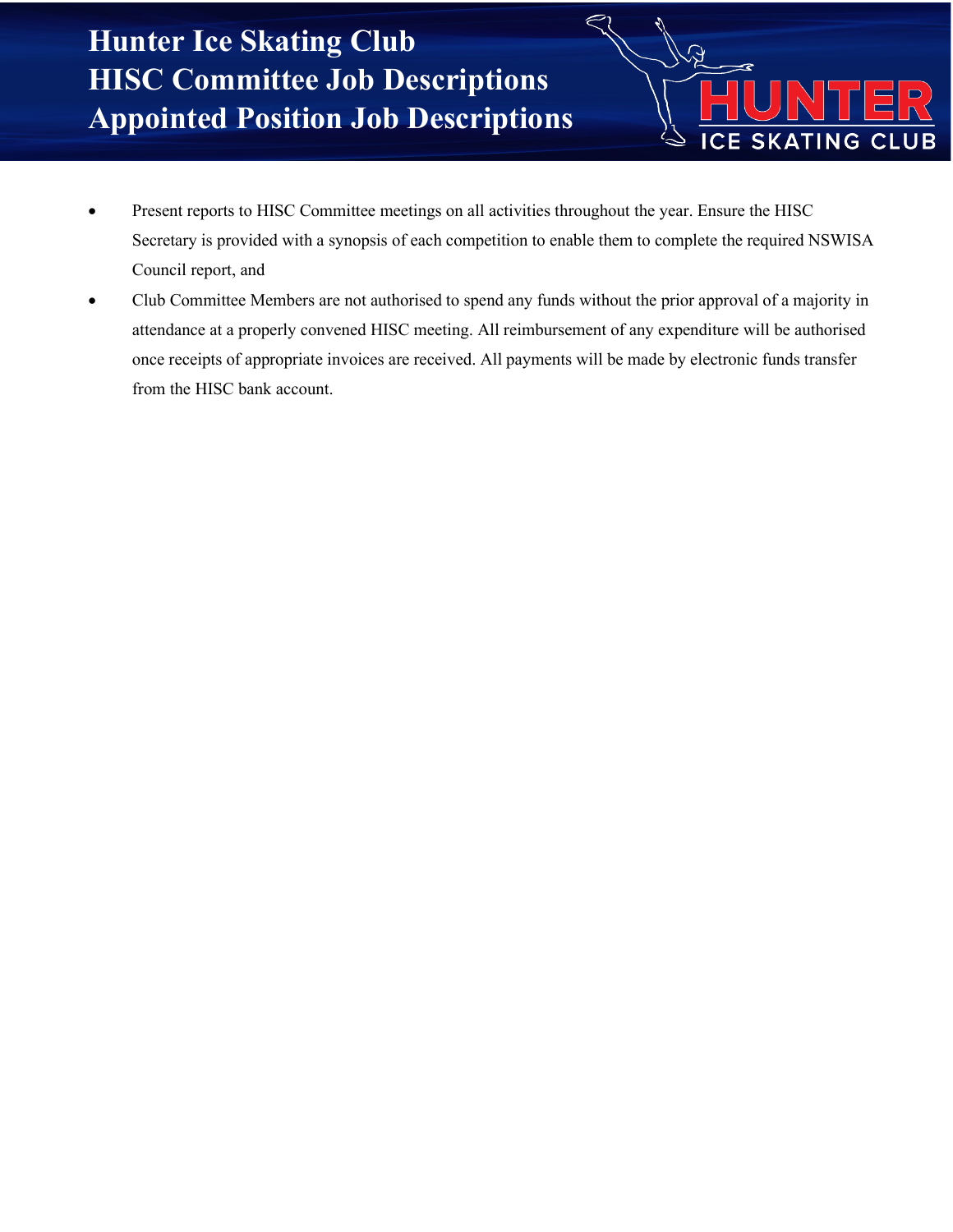• Present reports to HISC Committee meetings on all activities throughout the year. Ensure the HISC Secretary is provided with a synopsis of each competition to enable them to complete the required NSWISA Council report, and

 $\overline{\mathcal{Q}}$ 

**ICE SKATING CLUB** 

• Club Committee Members are not authorised to spend any funds without the prior approval of a majority in attendance at a properly convened HISC meeting. All reimbursement of any expenditure will be authorised once receipts of appropriate invoices are received. All payments will be made by electronic funds transfer from the HISC bank account.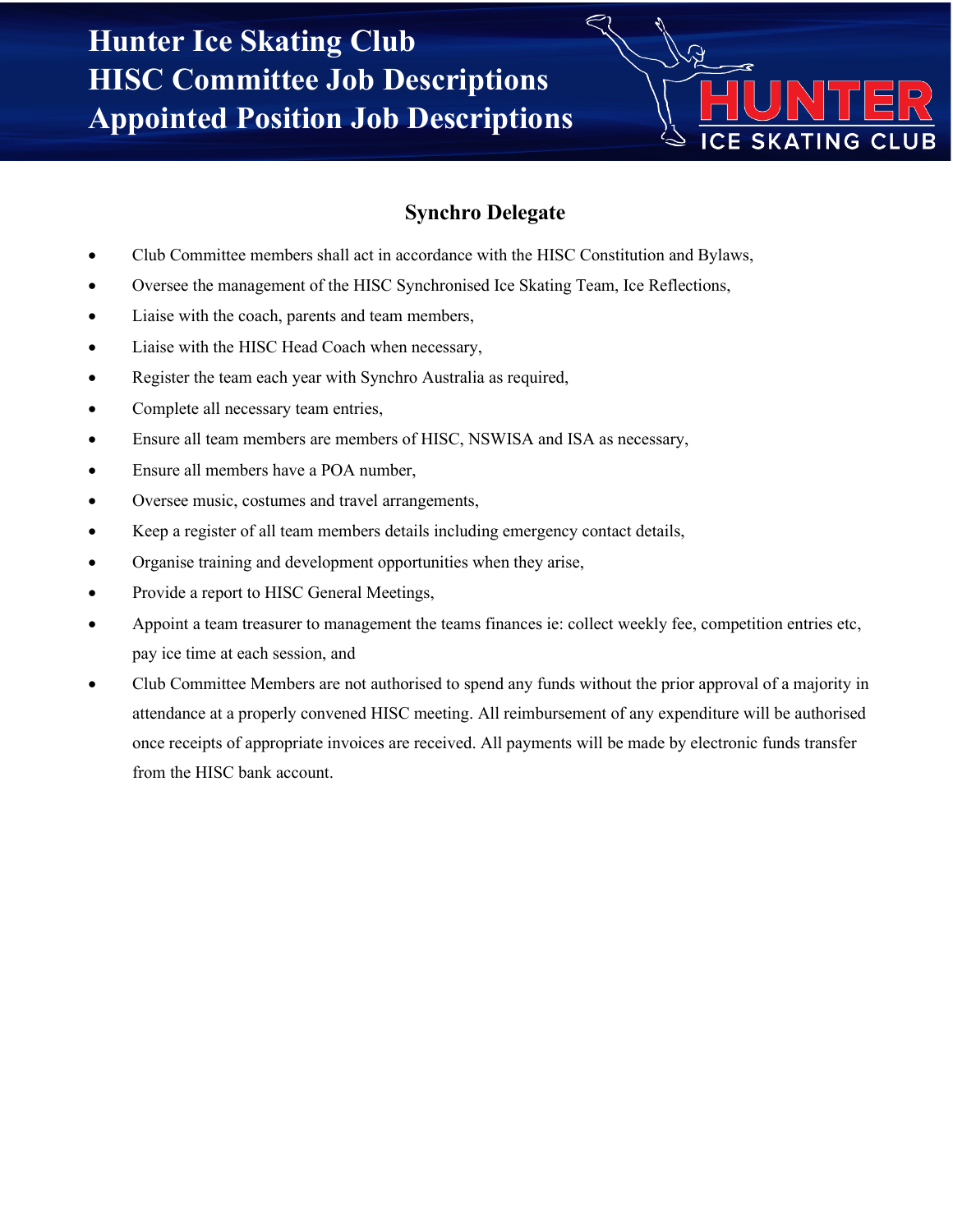

## **Synchro Delegate**

- Club Committee members shall act in accordance with the HISC Constitution and Bylaws,
- Oversee the management of the HISC Synchronised Ice Skating Team, Ice Reflections,
- Liaise with the coach, parents and team members,
- Liaise with the HISC Head Coach when necessary,
- Register the team each year with Synchro Australia as required,
- Complete all necessary team entries,
- Ensure all team members are members of HISC, NSWISA and ISA as necessary,
- Ensure all members have a POA number,
- Oversee music, costumes and travel arrangements,
- Keep a register of all team members details including emergency contact details,
- Organise training and development opportunities when they arise,
- Provide a report to HISC General Meetings,
- Appoint a team treasurer to management the teams finances ie: collect weekly fee, competition entries etc, pay ice time at each session, and
- Club Committee Members are not authorised to spend any funds without the prior approval of a majority in attendance at a properly convened HISC meeting. All reimbursement of any expenditure will be authorised once receipts of appropriate invoices are received. All payments will be made by electronic funds transfer from the HISC bank account.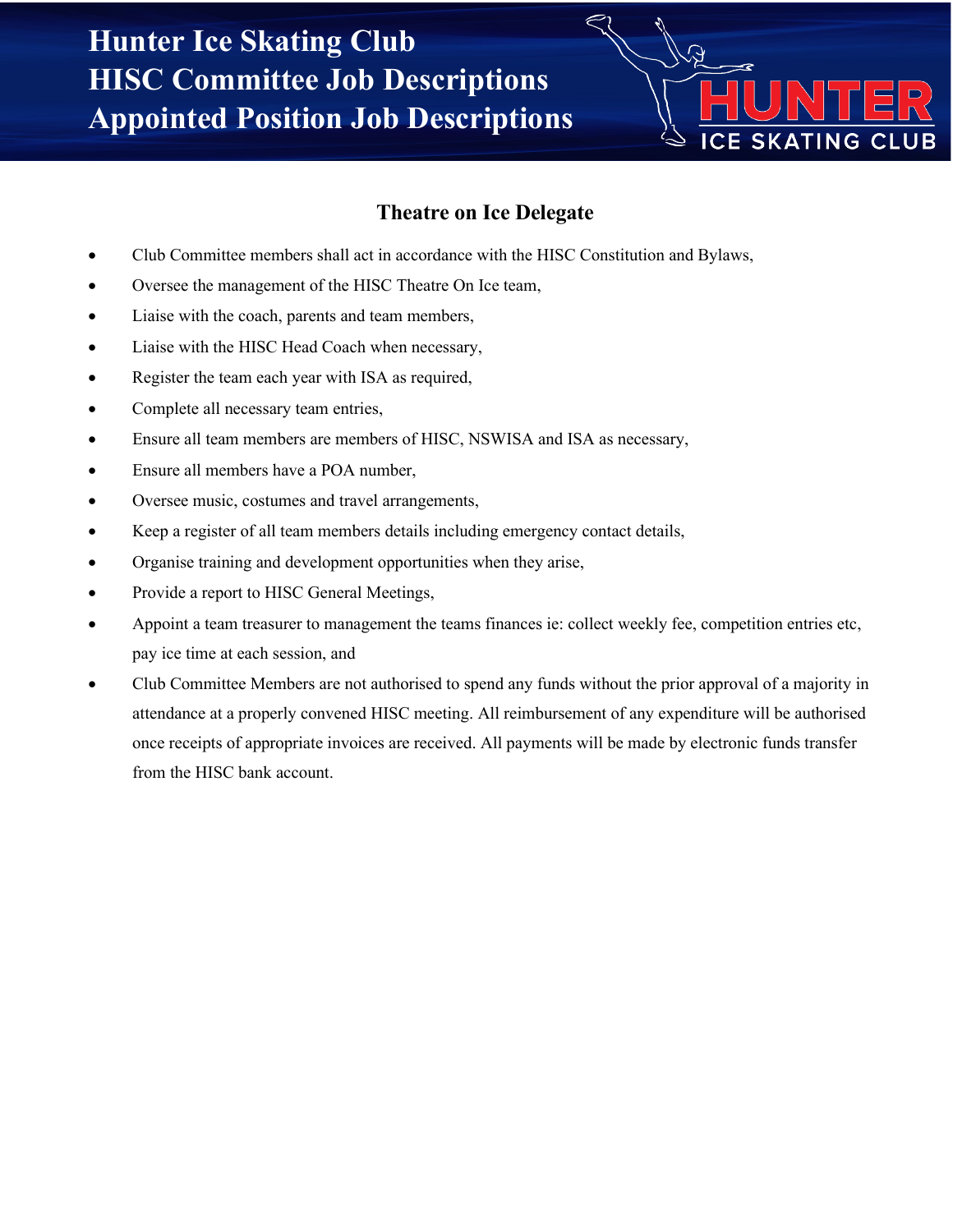

#### **Theatre on Ice Delegate**

- Club Committee members shall act in accordance with the HISC Constitution and Bylaws,
- Oversee the management of the HISC Theatre On Ice team,
- Liaise with the coach, parents and team members,
- Liaise with the HISC Head Coach when necessary,
- Register the team each year with ISA as required,
- Complete all necessary team entries,
- Ensure all team members are members of HISC, NSWISA and ISA as necessary,
- Ensure all members have a POA number,
- Oversee music, costumes and travel arrangements,
- Keep a register of all team members details including emergency contact details,
- Organise training and development opportunities when they arise,
- Provide a report to HISC General Meetings,
- Appoint a team treasurer to management the teams finances ie: collect weekly fee, competition entries etc, pay ice time at each session, and
- Club Committee Members are not authorised to spend any funds without the prior approval of a majority in attendance at a properly convened HISC meeting. All reimbursement of any expenditure will be authorised once receipts of appropriate invoices are received. All payments will be made by electronic funds transfer from the HISC bank account.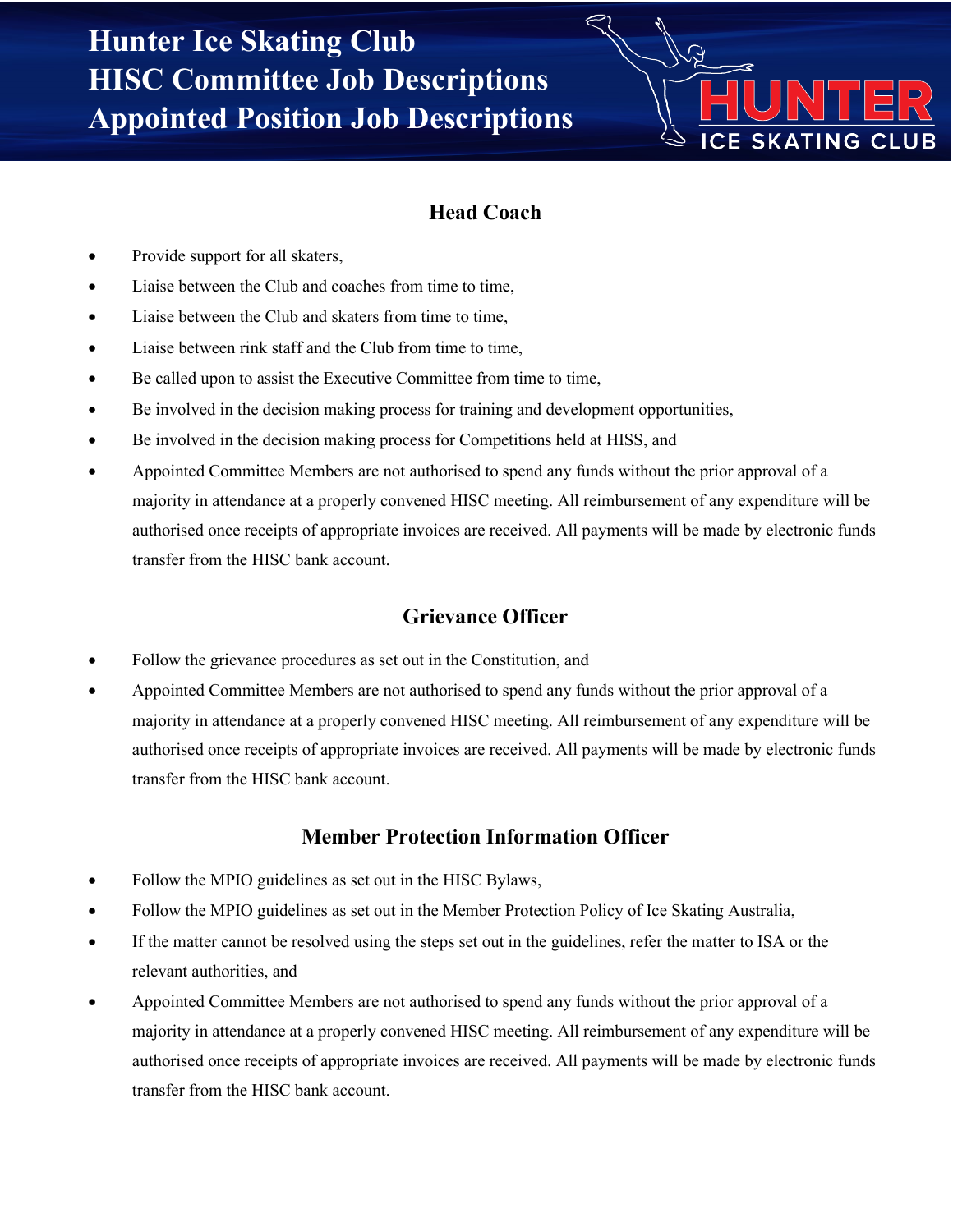# **ICE SKATING CLUB**

## **Head Coach**

- Provide support for all skaters,
- Liaise between the Club and coaches from time to time,
- Liaise between the Club and skaters from time to time,
- Liaise between rink staff and the Club from time to time,
- Be called upon to assist the Executive Committee from time to time,
- Be involved in the decision making process for training and development opportunities,
- Be involved in the decision making process for Competitions held at HISS, and
- Appointed Committee Members are not authorised to spend any funds without the prior approval of a majority in attendance at a properly convened HISC meeting. All reimbursement of any expenditure will be authorised once receipts of appropriate invoices are received. All payments will be made by electronic funds transfer from the HISC bank account.

#### **Grievance Officer**

- Follow the grievance procedures as set out in the Constitution, and
- Appointed Committee Members are not authorised to spend any funds without the prior approval of a majority in attendance at a properly convened HISC meeting. All reimbursement of any expenditure will be authorised once receipts of appropriate invoices are received. All payments will be made by electronic funds transfer from the HISC bank account.

#### **Member Protection Information Officer**

- Follow the MPIO guidelines as set out in the HISC Bylaws,
- Follow the MPIO guidelines as set out in the Member Protection Policy of Ice Skating Australia,
- If the matter cannot be resolved using the steps set out in the guidelines, refer the matter to ISA or the relevant authorities, and
- Appointed Committee Members are not authorised to spend any funds without the prior approval of a majority in attendance at a properly convened HISC meeting. All reimbursement of any expenditure will be authorised once receipts of appropriate invoices are received. All payments will be made by electronic funds transfer from the HISC bank account.